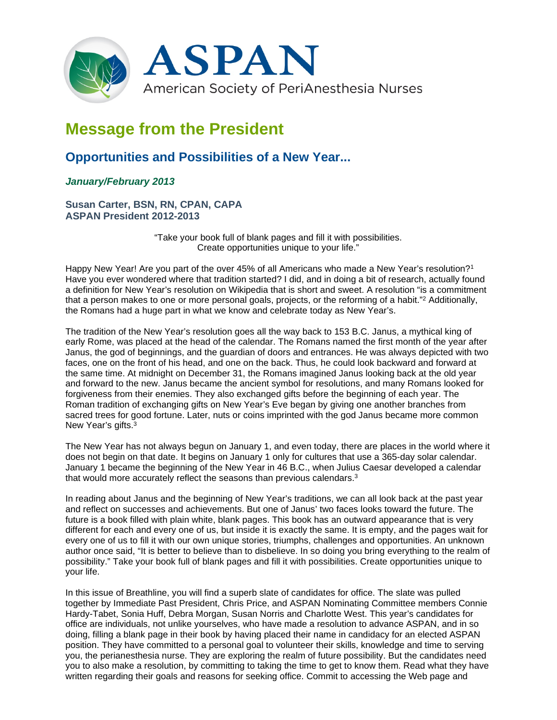

## **Message from the President**

## **Opportunities and Possibilities of a New Year...**

## *January/February 2013*

**Susan Carter, BSN, RN, CPAN, CAPA ASPAN President 2012-2013**

> "Take your book full of blank pages and fill it with possibilities. Create opportunities unique to your life."

Happy New Year! Are you part of the over 45% of all Americans who made a New Year's resolution?<sup>1</sup> Have you ever wondered where that tradition started? I did, and in doing a bit of research, actually found a definition for New Year's resolution on Wikipedia that is short and sweet. A resolution "is a commitment that a person makes to one or more personal goals, projects, or the reforming of a habit."2 Additionally, the Romans had a huge part in what we know and celebrate today as New Year's.

The tradition of the New Year's resolution goes all the way back to 153 B.C. Janus, a mythical king of early Rome, was placed at the head of the calendar. The Romans named the first month of the year after Janus, the god of beginnings, and the guardian of doors and entrances. He was always depicted with two faces, one on the front of his head, and one on the back. Thus, he could look backward and forward at the same time. At midnight on December 31, the Romans imagined Janus looking back at the old year and forward to the new. Janus became the ancient symbol for resolutions, and many Romans looked for forgiveness from their enemies. They also exchanged gifts before the beginning of each year. The Roman tradition of exchanging gifts on New Year's Eve began by giving one another branches from sacred trees for good fortune. Later, nuts or coins imprinted with the god Janus became more common New Year's gifts.<sup>3</sup>

The New Year has not always begun on January 1, and even today, there are places in the world where it does not begin on that date. It begins on January 1 only for cultures that use a 365-day solar calendar. January 1 became the beginning of the New Year in 46 B.C., when Julius Caesar developed a calendar that would more accurately reflect the seasons than previous calendars.3

In reading about Janus and the beginning of New Year's traditions, we can all look back at the past year and reflect on successes and achievements. But one of Janus' two faces looks toward the future. The future is a book filled with plain white, blank pages. This book has an outward appearance that is very different for each and every one of us, but inside it is exactly the same. It is empty, and the pages wait for every one of us to fill it with our own unique stories, triumphs, challenges and opportunities. An unknown author once said, "It is better to believe than to disbelieve. In so doing you bring everything to the realm of possibility." Take your book full of blank pages and fill it with possibilities. Create opportunities unique to your life.

In this issue of Breathline, you will find a superb slate of candidates for office. The slate was pulled together by Immediate Past President, Chris Price, and ASPAN Nominating Committee members Connie Hardy-Tabet, Sonia Huff, Debra Morgan, Susan Norris and Charlotte West. This year's candidates for office are individuals, not unlike yourselves, who have made a resolution to advance ASPAN, and in so doing, filling a blank page in their book by having placed their name in candidacy for an elected ASPAN position. They have committed to a personal goal to volunteer their skills, knowledge and time to serving you, the perianesthesia nurse. They are exploring the realm of future possibility. But the candidates need you to also make a resolution, by committing to taking the time to get to know them. Read what they have written regarding their goals and reasons for seeking office. Commit to accessing the Web page and